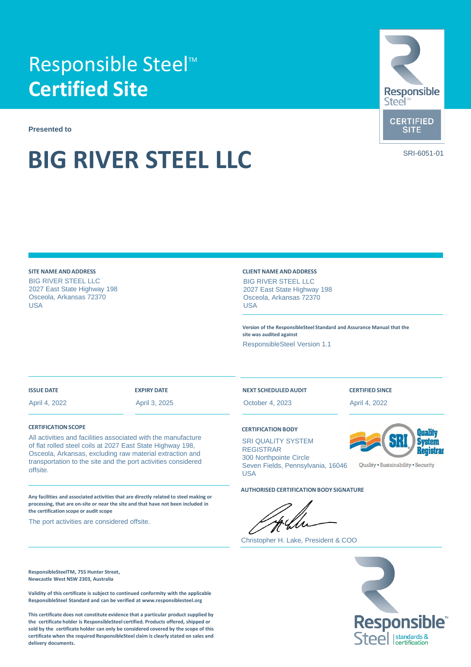## Responsible Steel<sup>™</sup> **Certified Site**

**Presented to**

# **BIG RIVER STEEL LLC** SRI-6051-01



#### **SITE NAME ANDADDRESS** BIG RIVER STEEL LLC 2027 East State Highway 198 Osceola, Arkansas 72370 USA

#### **CLIENT NAME ANDADDRESS**

BIG RIVER STEEL LLC 2027 East State Highway 198 Osceola, Arkansas 72370 USA

**Version of the ResponsibleSteel Standard and Assurance Manual that the site was audited against**

ResponsibleSteel Version 1.1

#### **ISSUE DATE**

April 4, 2022

### **EXPIRY DATE**

April 3, 2025

#### **CERTIFICATION SCOPE**

All activities and facilities associated with the manufacture of flat rolled steel coils at 2027 East State Highway 198, Osceola, Arkansas, excluding raw material extraction and transportation to the site and the port activities considered offsite.

**Any facilities and associated activities that are directly related to steel making or processing, that are on-site or near the site and that have not been included in the certification scope or audit scope**

The port activities are considered offsite.

**ResponsibleSteelTM, 755 Hunter Street, Newcastle West NSW 2303, Australia**

**Validity of this certificate is subject to continued conformity with the applicable ResponsibleSteel Standard and can be verified at www.responsiblesteel.org**

**This certificate does not constitute evidence that a particular product supplied by the certificate holder is ResponsibleSteel certified. Products offered, shipped or sold by the certificate holder can only be considered covered by the scope of this certificate when the required ResponsibleSteel claim is clearly stated on sales and delivery documents.**

#### **NEXT SCHEDULEDAUDIT**

October 4, 2023

#### **CERTIFICATION BODY**

SRI QUALITY SYSTEM REGISTRAR 300 Northpointe Circle Seven Fields, Pennsylvania, 16046 USA

**AUTHORISED CERTIFICATION BODY SIGNATURE**

-forflo

Christopher H. Lake, President & COO



**CERTIFIED SINCE** April 4, 2022